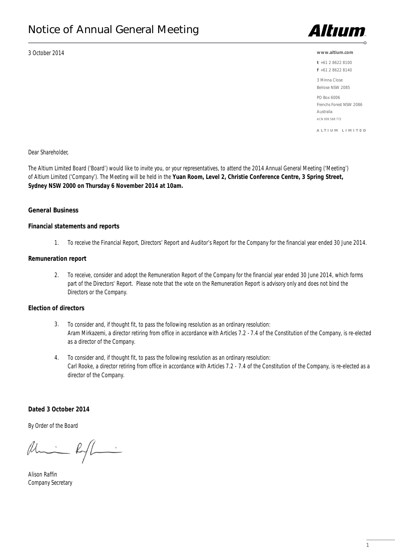3 October 2014



#### **www.altium.com**

t +61 2 8622 8100

f +61 2 8622 8140

3 Minna Close Belrose NSW 2085

PO Box 6006 Frenchs Forest NSW 2086 Australia ACN 009 568 772

A L T I U M L I M I T E D

Dear Shareholder,

The Altium Limited Board ('Board') would like to invite you, or your representatives, to attend the 2014 Annual General Meeting ('Meeting') of Altium Limited ('Company'). The Meeting will be held in the **Yuan Room, Level 2, Christie Conference Centre, 3 Spring Street, Sydney NSW 2000 on Thursday 6 November 2014 at 10am.**

### General Business

### **Financial statements and reports**

To receive the Financial Report, Directors' Report and Auditor's Report for the Company for the financial year ended 30 June 2014. 1.

### **Remuneration report**

To receive, consider and adopt the Remuneration Report of the Company for the financial year ended 30 June 2014, which forms part of the Directors' Report. Please note that the vote on the Remuneration Report is advisory only and does not bind the Directors or the Company. 2.

# **Election of directors**

- To consider and, if thought fit, to pass the following resolution as an ordinary resolution: Aram Mirkazemi, a director retiring from office in accordance with Articles 7.2 - 7.4 of the Constitution of the Company, is re-elected as a director of the Company. 3.
- To consider and, if thought fit, to pass the following resolution as an ordinary resolution: Carl Rooke, a director retiring from office in accordance with Articles 7.2 - 7.4 of the Constitution of the Company, is re-elected as a director of the Company. 4.

### **Dated 3 October 2014**

By Order of the Board

 $\begin{picture}(120,111) \put(0,0){\line(1,0){15}} \put(15,0){\line(1,0){15}} \put(15,0){\line(1,0){15}} \put(15,0){\line(1,0){15}} \put(15,0){\line(1,0){15}} \put(15,0){\line(1,0){15}} \put(15,0){\line(1,0){15}} \put(15,0){\line(1,0){15}} \put(15,0){\line(1,0){15}} \put(15,0){\line(1,0){15}} \put(15,0){\line(1,0){15}} \put(15,0){\line$ 

Alison Raffin Company Secretary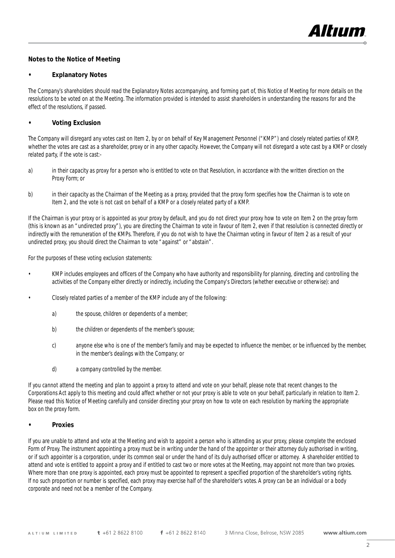

# Notes to the Notice of Meeting

### **Explanatory Notes**

The Company's shareholders should read the Explanatory Notes accompanying, and forming part of, this Notice of Meeting for more details on the resolutions to be voted on at the Meeting. The information provided is intended to assist shareholders in understanding the reasons for and the effect of the resolutions, if passed.

# **Voting Exclusion**

The Company will disregard any votes cast on Item 2, by or on behalf of Key Management Personnel ("KMP") and closely related parties of KMP, whether the votes are cast as a shareholder, proxy or in any other capacity. However, the Company will not disregard a vote cast by a KMP or closely related party, if the vote is cast:-

- a) in their capacity as proxy for a person who is entitled to vote on that Resolution, in accordance with the written direction on the Proxy Form; or
- b) in their capacity as the Chairman of the Meeting as a proxy, provided that the proxy form specifies how the Chairman is to vote on Item 2, and the vote is not cast on behalf of a KMP or a closely related party of a KMP.

If the Chairman is your proxy or is appointed as your proxy by default, and you do not direct your proxy how to vote on Item 2 on the proxy form (this is known as an "undirected proxy"), you are directing the Chairman to vote in favour of Item 2, even if that resolution is connected directly or indirectly with the remuneration of the KMPs. Therefore, if you do not wish to have the Chairman voting in favour of Item 2 as a result of your undirected proxy, you should direct the Chairman to vote "against" or "abstain".

For the purposes of these voting exclusion statements:

- KMP includes employees and officers of the Company who have authority and responsibility for planning, directing and controlling the activities of the Company either directly or indirectly, including the Company's Directors (whether executive or otherwise): and
- Closely related parties of a member of the KMP include any of the following:
	- a) the spouse, children or dependents of a member;
	- b) the children or dependents of the member's spouse;
	- c) anyone else who is one of the member's family and may be expected to influence the member, or be influenced by the member, in the member's dealings with the Company; or
	- d) a company controlled by the member.

If you cannot attend the meeting and plan to appoint a proxy to attend and vote on your behalf, please note that recent changes to the Corporations Act apply to this meeting and could affect whether or not your proxy is able to vote on your behalf, particularly in relation to Item 2. Please read this Notice of Meeting carefully and consider directing your proxy on how to vote on each resolution by marking the appropriate box on the proxy form.

### **Proxies**

If you are unable to attend and vote at the Meeting and wish to appoint a person who is attending as your proxy, please complete the enclosed Form of Proxy. The instrument appointing a proxy must be in writing under the hand of the appointer or their attorney duly authorised in writing, or if such appointer is a corporation, under its common seal or under the hand of its duly authorised officer or attorney. A shareholder entitled to attend and vote is entitled to appoint a proxy and if entitled to cast two or more votes at the Meeting, may appoint not more than two proxies. Where more than one proxy is appointed, each proxy must be appointed to represent a specified proportion of the shareholder's voting rights. If no such proportion or number is specified, each proxy may exercise half of the shareholder's votes. A proxy can be an individual or a body corporate and need not be a member of the Company.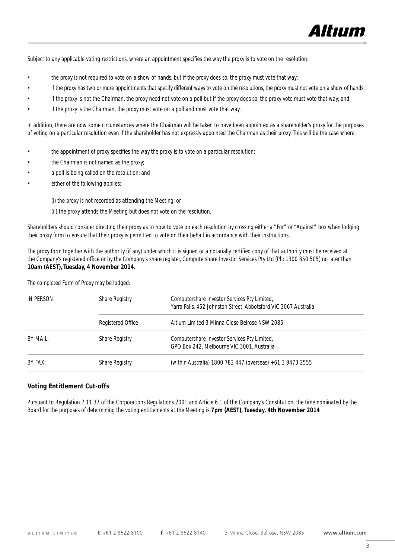

Subject to any applicable voting restrictions, where an appointment specifies the way the proxy is to vote on the resolution:

- the proxy is not required to vote on a show of hands, but if the proxy does so, the proxy must vote that way;
- if the proxy has two or more appointments that specify different ways to vote on the resolutions, the proxy must not vote on a show of hands;
- if the proxy is not the Chairman, the proxy need not vote on a poll but if the proxy does so, the proxy vote must vote that way; and
- if the proxy is the Chairman, the proxy must vote on a poll and must vote that way.

In addition, there are now some circumstances where the Chairman will be taken to have been appointed as a shareholder's proxy for the purposes of voting on a particular resolution even if the shareholder has not expressly appointed the Chairman as their proxy. This will be the case where:

- the appointment of proxy specifies the way the proxy is to vote on a particular resolution;
- the Chairman is not named as the proxy;
- a poll is being called on the resolution; and
- either of the following applies:

(i) the proxy is not recorded as attending the Meeting; or

(ii) the proxy attends the Meeting but does not vote on the resolution.

Shareholders should consider directing their proxy as to how to vote on each resolution by crossing either a "For" or "Against" box when lodging their proxy form to ensure that their proxy is permitted to vote on their behalf in accordance with their instructions.

The proxy form together with the authority (if any) under which it is signed or a notarially certified copy of that authority must be received at the Company's registered office or by the Company's share register, Computershare Investor Services Pty Ltd (Ph: 1300 850 505) no later than **10am (AEST), Tuesday, 4 November 2014.**

The completed Form of Proxy may be lodged:

| IN PERSON: | Share Registry    | Computershare Investor Services Pty Limited,                    |
|------------|-------------------|-----------------------------------------------------------------|
|            |                   | Yarra Falls, 452 Johnston Street, Abbotsford VIC 3067 Australia |
|            | Registered Office | Altium Limited 3 Minna Close Belrose NSW 2085                   |
| BY MAIL:   | Share Registry    | Computershare Investor Services Pty Limited,                    |
|            |                   | GPO Box 242, Melbourne VIC 3001, Australia                      |
| BY FAX:    | Share Registry    | (within Australia) 1800 783 447 (overseas) +61 3 9473 2555      |

### Voting Entitlement Cut-offs

Pursuant to Regulation 7.11.37 of the Corporations Regulations 2001 and Article 6.1 of the Company's Constitution, the time nominated by the Board for the purposes of determining the voting entitlements at the Meeting is **7pm (AEST), Tuesday, 4th November 2014**